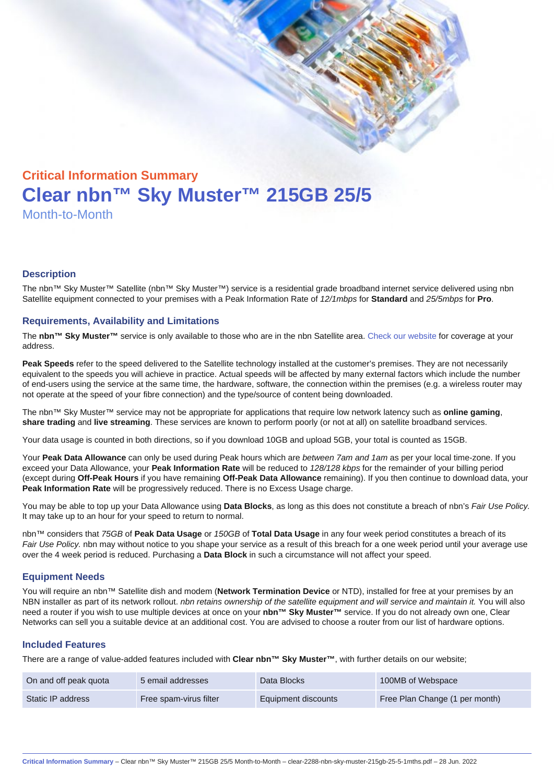# Critical Information Summary Clear nbn™ Sky Muster™ 215GB 25/5 Month-to-Month

#### **Description**

The nbn™ Sky Muster™ Satellite (nbn™ Sky Muster™) service is a residential grade broadband internet service delivered using nbn Satellite equipment connected to your premises with a Peak Information Rate of 12/1mbps for Standard and 25/5mbps for Pro.

#### Requirements, Availability and Limitations

The nbn™ Sky Muster™ service is only available to those who are in the nbn Satellite area. [Check our website](https://www.clear.com.au/business/nbn-sky-muster/availability-coverage/) for coverage at your address.

Peak Speeds refer to the speed delivered to the Satellite technology installed at the customer's premises. They are not necessarily equivalent to the speeds you will achieve in practice. Actual speeds will be affected by many external factors which include the number of end-users using the service at the same time, the hardware, software, the connection within the premises (e.g. a wireless router may not operate at the speed of your fibre connection) and the type/source of content being downloaded.

The nbn™ Sky Muster™ service may not be appropriate for applications that require low network latency such as online gaming , share trading and live streaming . These services are known to perform poorly (or not at all) on satellite broadband services.

Your data usage is counted in both directions, so if you download 10GB and upload 5GB, your total is counted as 15GB.

Your Peak Data Allowance can only be used during Peak hours which are between 7am and 1am as per your local time-zone. If you exceed your Data Allowance, your Peak Information Rate will be reduced to 128/128 kbps for the remainder of your billing period (except during Off-Peak Hours if you have remaining Off-Peak Data Allowance remaining). If you then continue to download data, your Peak Information Rate will be progressively reduced. There is no Excess Usage charge.

You may be able to top up your Data Allowance using Data Blocks , as long as this does not constitute a breach of nbn's Fair Use Policy. It may take up to an hour for your speed to return to normal.

nbn™ considers that 75GB of Peak Data Usage or 150GB of Total Data Usage in any four week period constitutes a breach of its Fair Use Policy. nbn may without notice to you shape your service as a result of this breach for a one week period until your average use over the 4 week period is reduced. Purchasing a Data Block in such a circumstance will not affect your speed.

#### Equipment Needs

You will require an nbn™ Satellite dish and modem (Network Termination Device or NTD), installed for free at your premises by an NBN installer as part of its network rollout. nbn retains ownership of the satellite equipment and will service and maintain it. You will also need a router if you wish to use multiple devices at once on your nbn™ Sky Muster™ service. If you do not already own one, Clear Networks can sell you a suitable device at an additional cost. You are advised to choose a router from our list of hardware options.

#### Included Features

There are a range of value-added features included with Clear nbn™ Sky Muster™ , with further details on our website;

| On and off peak quota | 5 email addresses      | Data Blocks         | 100MB of Webspace              |
|-----------------------|------------------------|---------------------|--------------------------------|
| Static IP address     | Free spam-virus filter | Equipment discounts | Free Plan Change (1 per month) |